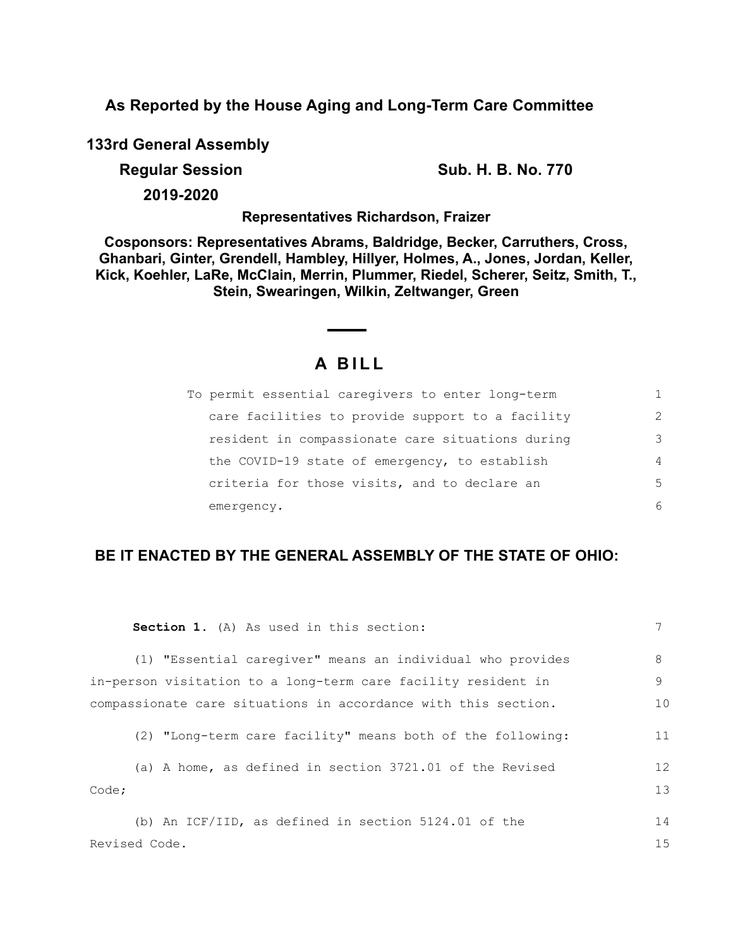**As Reported by the House Aging and Long-Term Care Committee**

**133rd General Assembly**

**Regular Session Sub. H. B. No. 770** 

**2019-2020**

**Representatives Richardson, Fraizer**

**Cosponsors: Representatives Abrams, Baldridge, Becker, Carruthers, Cross, Ghanbari, Ginter, Grendell, Hambley, Hillyer, Holmes, A., Jones, Jordan, Keller, Kick, Koehler, LaRe, McClain, Merrin, Plummer, Riedel, Scherer, Seitz, Smith, T., Stein, Swearingen, Wilkin, Zeltwanger, Green**

# **A B I L L**

| To permit essential caregivers to enter long-term |                |
|---------------------------------------------------|----------------|
| care facilities to provide support to a facility  | $\mathcal{L}$  |
| resident in compassionate care situations during  | 3              |
| the COVID-19 state of emergency, to establish     | $\overline{4}$ |
| criteria for those visits, and to declare an      | .5             |
| emergency.                                        | 6              |

## **BE IT ENACTED BY THE GENERAL ASSEMBLY OF THE STATE OF OHIO:**

| <b>Section 1.</b> (A) As used in this section:                 |    |
|----------------------------------------------------------------|----|
| (1) "Essential caregiver" means an individual who provides     | 8  |
| in-person visitation to a long-term care facility resident in  | 9  |
| compassionate care situations in accordance with this section. | 10 |
| (2) "Long-term care facility" means both of the following:     | 11 |
| (a) A home, as defined in section 3721.01 of the Revised       | 12 |
| Code;                                                          | 13 |
| (b) An ICF/IID, as defined in section $5124.01$ of the         | 14 |
| Revised Code.                                                  | 15 |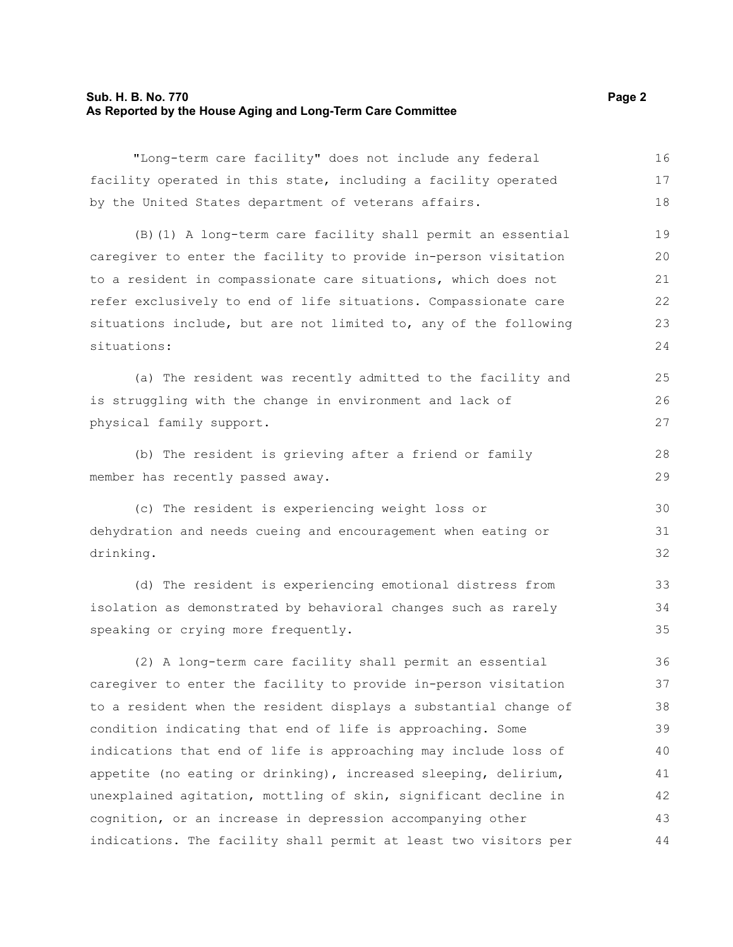#### **Sub. H. B. No. 770 Page 2 As Reported by the House Aging and Long-Term Care Committee**

"Long-term care facility" does not include any federal facility operated in this state, including a facility operated by the United States department of veterans affairs. 16 17 18

(B)(1) A long-term care facility shall permit an essential caregiver to enter the facility to provide in-person visitation to a resident in compassionate care situations, which does not refer exclusively to end of life situations. Compassionate care situations include, but are not limited to, any of the following situations: 19 20 21 22 23  $24$ 

(a) The resident was recently admitted to the facility and is struggling with the change in environment and lack of physical family support.

(b) The resident is grieving after a friend or family member has recently passed away.

(c) The resident is experiencing weight loss or dehydration and needs cueing and encouragement when eating or drinking.

(d) The resident is experiencing emotional distress from isolation as demonstrated by behavioral changes such as rarely speaking or crying more frequently.

(2) A long-term care facility shall permit an essential caregiver to enter the facility to provide in-person visitation to a resident when the resident displays a substantial change of condition indicating that end of life is approaching. Some indications that end of life is approaching may include loss of appetite (no eating or drinking), increased sleeping, delirium, unexplained agitation, mottling of skin, significant decline in cognition, or an increase in depression accompanying other indications. The facility shall permit at least two visitors per 36 37 38 39 40 41 42 43 44

25 26 27

28 29

30 31 32

33 34 35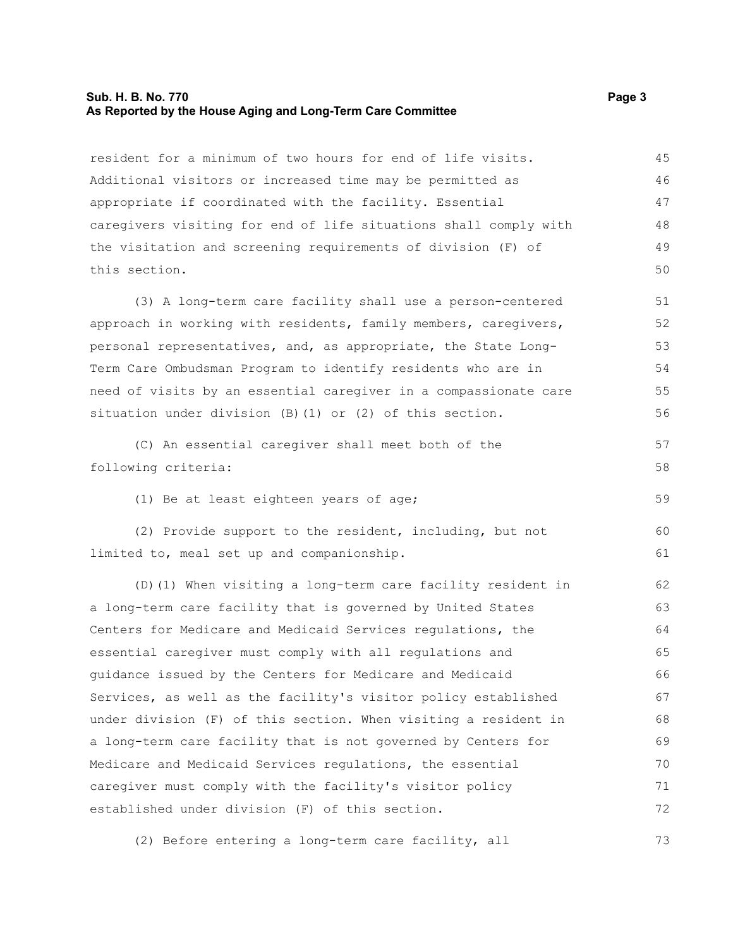#### **Sub. H. B. No. 770 Page 3 As Reported by the House Aging and Long-Term Care Committee**

resident for a minimum of two hours for end of life visits. Additional visitors or increased time may be permitted as appropriate if coordinated with the facility. Essential caregivers visiting for end of life situations shall comply with the visitation and screening requirements of division (F) of this section.

(3) A long-term care facility shall use a person-centered approach in working with residents, family members, caregivers, personal representatives, and, as appropriate, the State Long-Term Care Ombudsman Program to identify residents who are in need of visits by an essential caregiver in a compassionate care situation under division (B)(1) or (2) of this section.

(C) An essential caregiver shall meet both of the following criteria: 57 58

(1) Be at least eighteen years of age;

(2) Provide support to the resident, including, but not limited to, meal set up and companionship.  $60$ 61

(D)(1) When visiting a long-term care facility resident in a long-term care facility that is governed by United States Centers for Medicare and Medicaid Services regulations, the essential caregiver must comply with all regulations and guidance issued by the Centers for Medicare and Medicaid Services, as well as the facility's visitor policy established under division (F) of this section. When visiting a resident in a long-term care facility that is not governed by Centers for Medicare and Medicaid Services regulations, the essential caregiver must comply with the facility's visitor policy established under division (F) of this section. 62 63 64 65 66 67 68 69 70 71 72

(2) Before entering a long-term care facility, all 73

59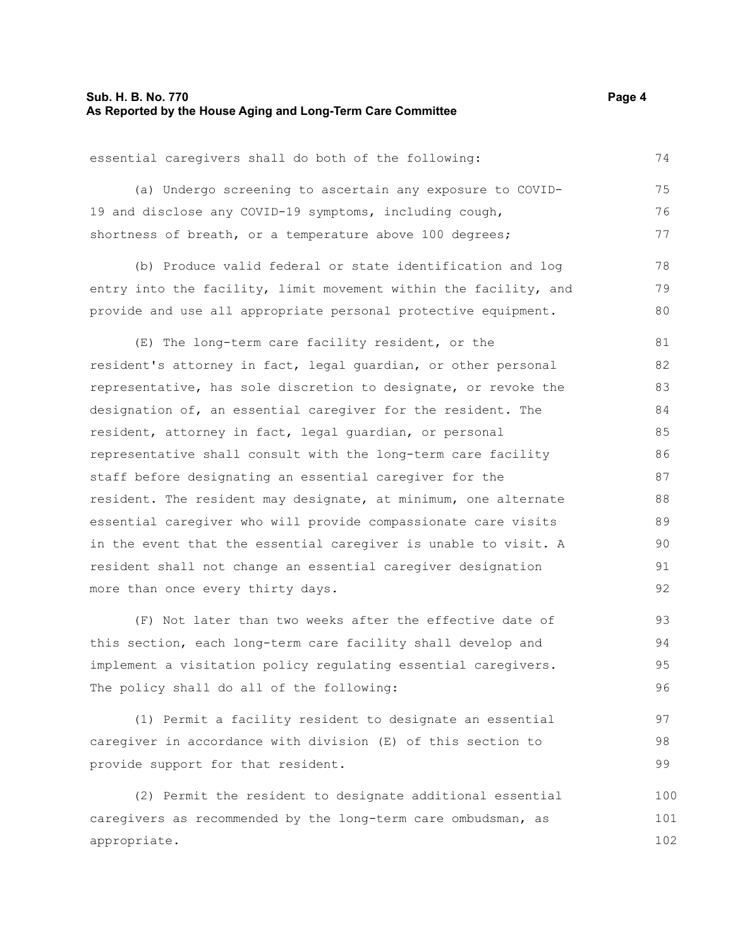#### **Sub. H. B. No. 770 Page 4 As Reported by the House Aging and Long-Term Care Committee**

74

78 79 80

essential caregivers shall do both of the following:

(a) Undergo screening to ascertain any exposure to COVID-19 and disclose any COVID-19 symptoms, including cough, shortness of breath, or a temperature above 100 degrees; 75 76 77

(b) Produce valid federal or state identification and log entry into the facility, limit movement within the facility, and provide and use all appropriate personal protective equipment.

(E) The long-term care facility resident, or the resident's attorney in fact, legal guardian, or other personal representative, has sole discretion to designate, or revoke the designation of, an essential caregiver for the resident. The resident, attorney in fact, legal guardian, or personal representative shall consult with the long-term care facility staff before designating an essential caregiver for the resident. The resident may designate, at minimum, one alternate essential caregiver who will provide compassionate care visits in the event that the essential caregiver is unable to visit. A resident shall not change an essential caregiver designation more than once every thirty days. 81 82 83 84 85 86 87 88 89 90 91 92

(F) Not later than two weeks after the effective date of this section, each long-term care facility shall develop and implement a visitation policy regulating essential caregivers. The policy shall do all of the following:

(1) Permit a facility resident to designate an essential caregiver in accordance with division (E) of this section to provide support for that resident. 97 98 99

(2) Permit the resident to designate additional essential caregivers as recommended by the long-term care ombudsman, as appropriate. 100 101 102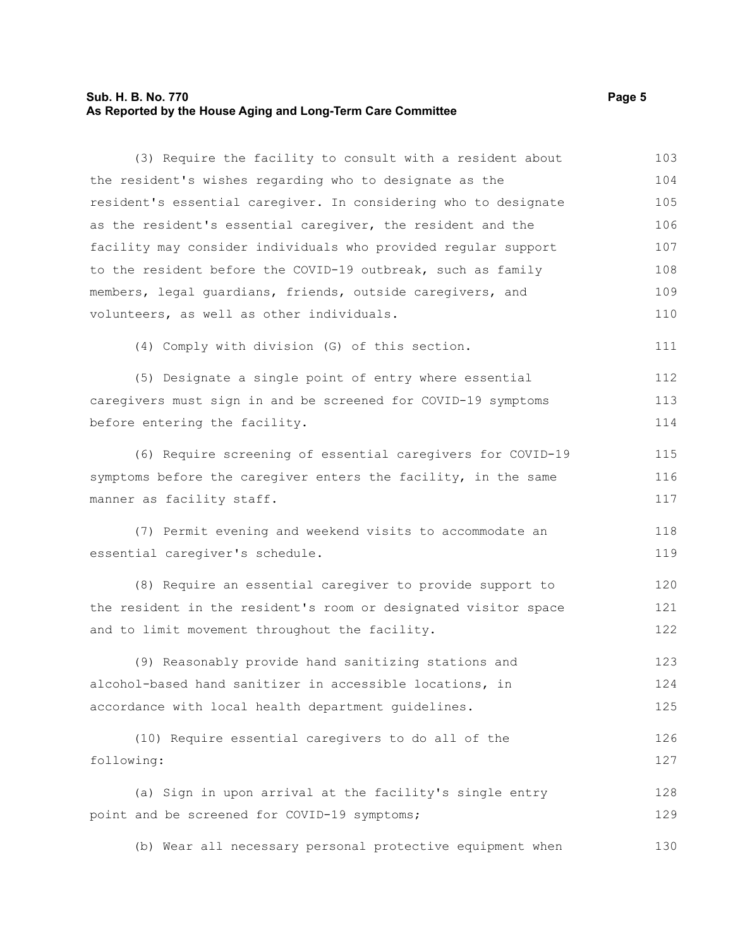#### **Sub. H. B. No. 770 Page 5 As Reported by the House Aging and Long-Term Care Committee**

(3) Require the facility to consult with a resident about the resident's wishes regarding who to designate as the resident's essential caregiver. In considering who to designate as the resident's essential caregiver, the resident and the facility may consider individuals who provided regular support to the resident before the COVID-19 outbreak, such as family members, legal guardians, friends, outside caregivers, and volunteers, as well as other individuals. 103 104 105 106 107 108 109 110

(4) Comply with division (G) of this section.

(5) Designate a single point of entry where essential caregivers must sign in and be screened for COVID-19 symptoms before entering the facility. 112 113 114

111

(6) Require screening of essential caregivers for COVID-19 symptoms before the caregiver enters the facility, in the same manner as facility staff. 115 116 117

(7) Permit evening and weekend visits to accommodate an essential caregiver's schedule. 118 119

(8) Require an essential caregiver to provide support to the resident in the resident's room or designated visitor space and to limit movement throughout the facility. 120 121 122

(9) Reasonably provide hand sanitizing stations and alcohol-based hand sanitizer in accessible locations, in accordance with local health department guidelines. 123 124 125

```
(10) Require essential caregivers to do all of the
following:
                                                                             126
                                                                             127
```
(a) Sign in upon arrival at the facility's single entry point and be screened for COVID-19 symptoms; 128 129

(b) Wear all necessary personal protective equipment when 130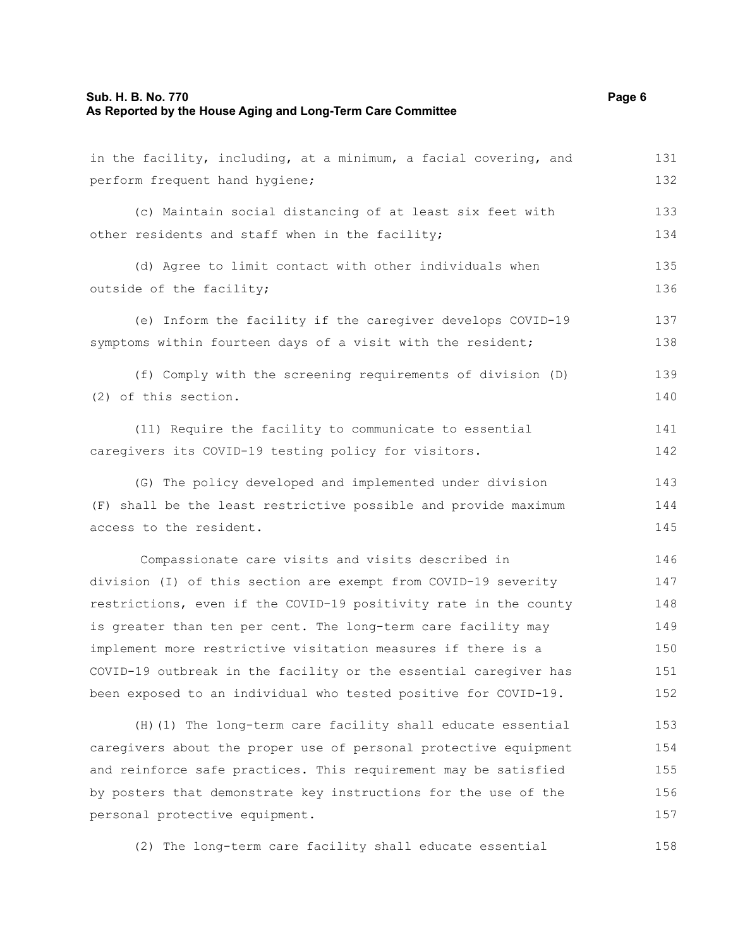| in the facility, including, at a minimum, a facial covering, and | 131 |
|------------------------------------------------------------------|-----|
| perform frequent hand hygiene;                                   |     |
| (c) Maintain social distancing of at least six feet with         | 133 |
| other residents and staff when in the facility;                  | 134 |
| (d) Agree to limit contact with other individuals when           | 135 |
| outside of the facility;                                         | 136 |
| (e) Inform the facility if the caregiver develops COVID-19       | 137 |
| symptoms within fourteen days of a visit with the resident;      | 138 |
| (f) Comply with the screening requirements of division (D)       | 139 |
| (2) of this section.                                             | 140 |
| (11) Require the facility to communicate to essential            | 141 |
| caregivers its COVID-19 testing policy for visitors.             | 142 |
| (G) The policy developed and implemented under division          | 143 |
| (F) shall be the least restrictive possible and provide maximum  | 144 |
| access to the resident.                                          | 145 |
| Compassionate care visits and visits described in                | 146 |
| division (I) of this section are exempt from COVID-19 severity   |     |
| restrictions, even if the COVID-19 positivity rate in the county | 148 |
| is greater than ten per cent. The long-term care facility may    | 149 |
| implement more restrictive visitation measures if there is a     | 150 |
| COVID-19 outbreak in the facility or the essential caregiver has | 151 |
| been exposed to an individual who tested positive for COVID-19.  | 152 |
| (H) (1) The long-term care facility shall educate essential      | 153 |
| caregivers about the proper use of personal protective equipment | 154 |
| and reinforce safe practices. This requirement may be satisfied  | 155 |
| by posters that demonstrate key instructions for the use of the  | 156 |
| personal protective equipment.                                   | 157 |

(2) The long-term care facility shall educate essential 158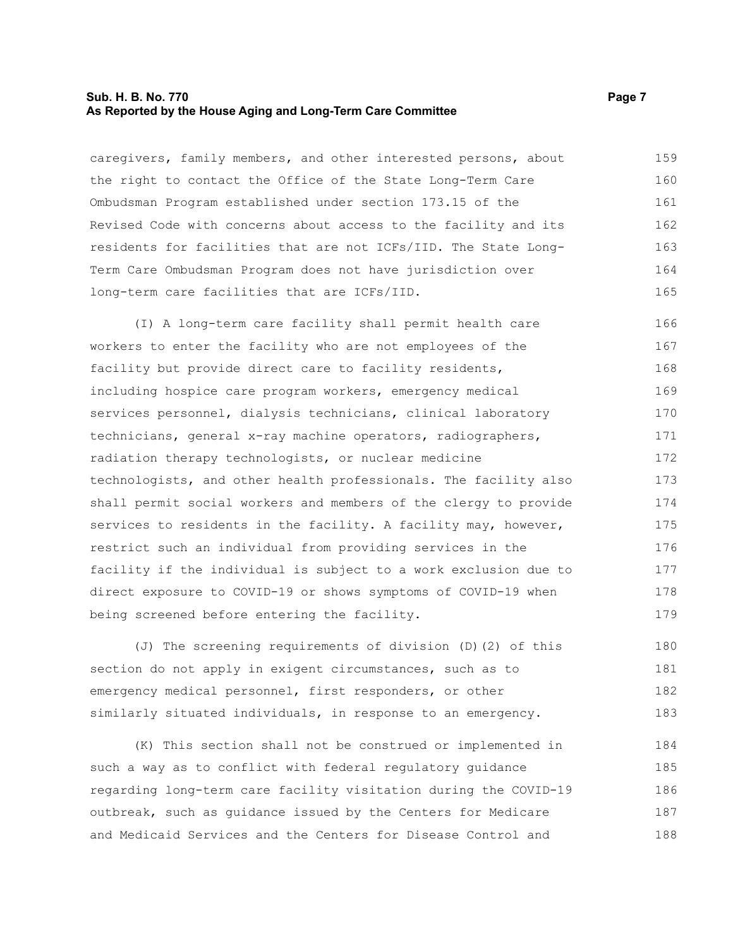#### **Sub. H. B. No. 770 Page 7 As Reported by the House Aging and Long-Term Care Committee**

caregivers, family members, and other interested persons, about the right to contact the Office of the State Long-Term Care Ombudsman Program established under section 173.15 of the Revised Code with concerns about access to the facility and its residents for facilities that are not ICFs/IID. The State Long-Term Care Ombudsman Program does not have jurisdiction over long-term care facilities that are ICFs/IID. 159 160 161 162 163 164 165

(I) A long-term care facility shall permit health care workers to enter the facility who are not employees of the facility but provide direct care to facility residents, including hospice care program workers, emergency medical services personnel, dialysis technicians, clinical laboratory technicians, general x-ray machine operators, radiographers, radiation therapy technologists, or nuclear medicine technologists, and other health professionals. The facility also shall permit social workers and members of the clergy to provide services to residents in the facility. A facility may, however, restrict such an individual from providing services in the facility if the individual is subject to a work exclusion due to direct exposure to COVID-19 or shows symptoms of COVID-19 when being screened before entering the facility. 166 167 168 169 170 171 172 173 174 175 176 177 178 179

(J) The screening requirements of division (D)(2) of this section do not apply in exigent circumstances, such as to emergency medical personnel, first responders, or other similarly situated individuals, in response to an emergency. 180 181 182 183

(K) This section shall not be construed or implemented in such a way as to conflict with federal regulatory guidance regarding long-term care facility visitation during the COVID-19 outbreak, such as guidance issued by the Centers for Medicare and Medicaid Services and the Centers for Disease Control and 184 185 186 187 188